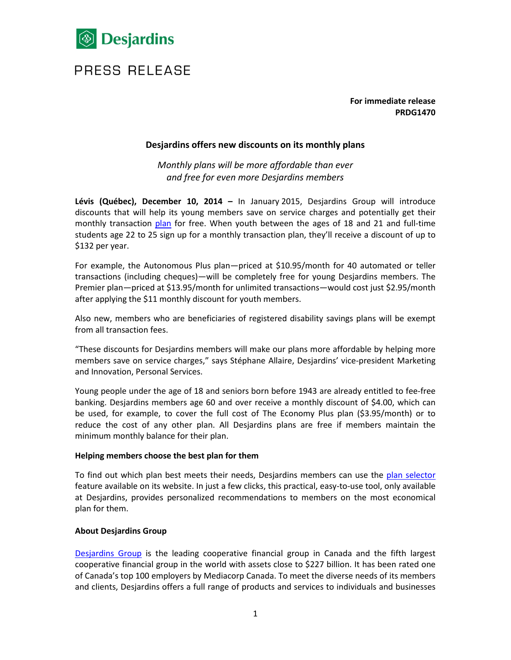

## PRESS RELEASE

**For immediate release PRDG1470**

## **Desjardins offers new discounts on its monthly plans**

*Monthly plans will be more affordable than ever and free for even more Desjardins members*

**Lévis (Québec), December 10, 2014 –** In January 2015, Desjardins Group will introduce discounts that will help its young members save on service charges and potentially get their monthly transaction [plan](http://www.desjardins.com/ca/personal/accounts-services/plans/index.jsp) for free. When youth between the ages of 18 and 21 and full-time students age 22 to 25 sign up for a monthly transaction plan, they'll receive a discount of up to \$132 per year.

For example, the Autonomous Plus plan—priced at \$10.95/month for 40 automated or teller transactions (including cheques)—will be completely free for young Desjardins members. The Premier plan—priced at \$13.95/month for unlimited transactions—would cost just \$2.95/month after applying the \$11 monthly discount for youth members.

Also new, members who are beneficiaries of registered disability savings plans will be exempt from all transaction fees.

"These discounts for Desjardins members will make our plans more affordable by helping more members save on service charges," says Stéphane Allaire, Desjardins' vice-president Marketing and Innovation, Personal Services.

Young people under the age of 18 and seniors born before 1943 are already entitled to fee-free banking. Desjardins members age 60 and over receive a monthly discount of \$4.00, which can be used, for example, to cover the full cost of The Economy Plus plan (\$3.95/month) or to reduce the cost of any other plan. All Desjardins plans are free if members maintain the minimum monthly balance for their plan.

## **Helping members choose the best plan for them**

To find out which plan best meets their needs, Desjardins members can use the [plan selector](http://www.desjardins.com/ca/personal/accounts-services/ways-to-bank/online/see-statements-manage-accounts/index.jsp?utm_campaign=vanity-url&utm_medium=vanity&utm_source=desjardins&utm_term=/ChoisirForfait/index.jsp) feature available on its website. In just a few clicks, this practical, easy-to-use tool, only available at Desjardins, provides personalized recommendations to members on the most economical plan for them.

## **About Desjardins Group**

[Desjardins Group](http://www.desjardins.com/) is the leading cooperative financial group in Canada and the fifth largest cooperative financial group in the world with assets close to \$227 billion. It has been rated one of Canada's top 100 employers by Mediacorp Canada. To meet the diverse needs of its members and clients, Desjardins offers a full range of products and services to individuals and businesses